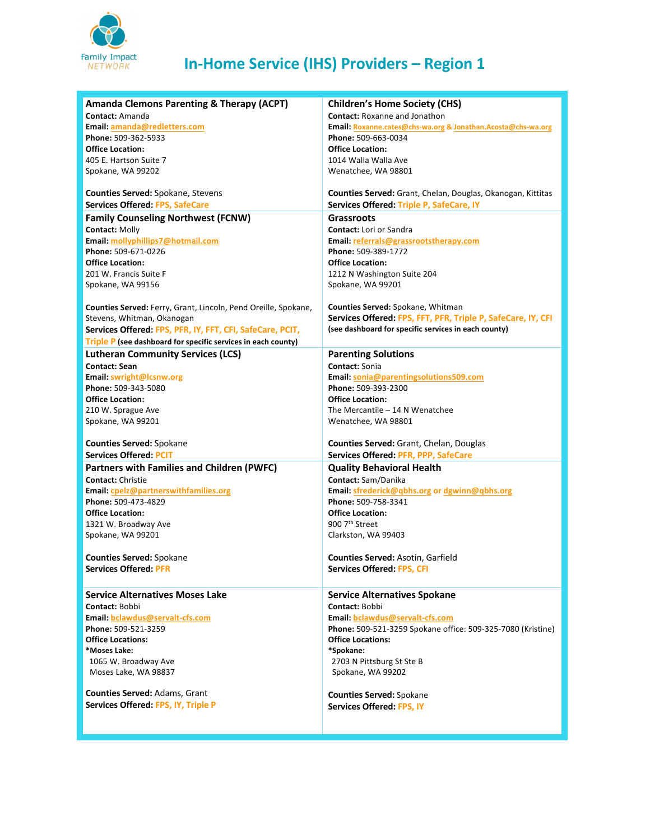

## **In-Home Service (IHS) Providers – Region 1**

| <b>Amanda Clemons Parenting &amp; Therapy (ACPT)</b>           | <b>Children's Home Society (CHS)</b>                               |
|----------------------------------------------------------------|--------------------------------------------------------------------|
| Contact: Amanda                                                | <b>Contact: Roxanne and Jonathon</b>                               |
| Email: amanda@redletters.com                                   | Email: Roxanne.cates@chs-wa.org & Jonathan.Acosta@chs-wa.org       |
| Phone: 509-362-5933                                            | Phone: 509-663-0034                                                |
| <b>Office Location:</b>                                        | <b>Office Location:</b>                                            |
| 405 E. Hartson Suite 7                                         | 1014 Walla Walla Ave                                               |
| Spokane, WA 99202                                              | Wenatchee, WA 98801                                                |
|                                                                |                                                                    |
| Counties Served: Spokane, Stevens                              | <b>Counties Served:</b> Grant, Chelan, Douglas, Okanogan, Kittitas |
| <b>Services Offered: FPS, SafeCare</b>                         | Services Offered: Triple P, SafeCare, IY                           |
| <b>Family Counseling Northwest (FCNW)</b>                      | <b>Grassroots</b>                                                  |
| <b>Contact: Molly</b>                                          | <b>Contact: Lori or Sandra</b>                                     |
| Email: mollyphillips7@hotmail.com                              | Email: referrals@grassrootstherapy.com                             |
| Phone: 509-671-0226                                            | Phone: 509-389-1772                                                |
| <b>Office Location:</b>                                        | <b>Office Location:</b>                                            |
| 201 W. Francis Suite F                                         | 1212 N Washington Suite 204                                        |
| Spokane, WA 99156                                              | Spokane, WA 99201                                                  |
|                                                                |                                                                    |
| Counties Served: Ferry, Grant, Lincoln, Pend Oreille, Spokane, | Counties Served: Spokane, Whitman                                  |
| Stevens, Whitman, Okanogan                                     | Services Offered: FPS, FFT, PFR, Triple P, SafeCare, IY, CFI       |
| Services Offered: FPS, PFR, IY, FFT, CFI, SafeCare, PCIT,      | (see dashboard for specific services in each county)               |
| Triple P (see dashboard for specific services in each county)  |                                                                    |
| <b>Lutheran Community Services (LCS)</b>                       | <b>Parenting Solutions</b>                                         |
| <b>Contact: Sean</b>                                           | Contact: Sonia                                                     |
| Email: swright@lcsnw.org                                       | Email: sonia@parentingsolutions509.com                             |
| Phone: 509-343-5080                                            | Phone: 509-393-2300                                                |
| <b>Office Location:</b>                                        | <b>Office Location:</b>                                            |
| 210 W. Sprague Ave                                             | The Mercantile - 14 N Wenatchee                                    |
| Spokane, WA 99201                                              | Wenatchee, WA 98801                                                |
|                                                                |                                                                    |
| <b>Counties Served: Spokane</b>                                | Counties Served: Grant, Chelan, Douglas                            |
| <b>Services Offered: PCIT</b>                                  | Services Offered: PFR, PPP, SafeCare                               |
| <b>Partners with Families and Children (PWFC)</b>              | <b>Quality Behavioral Health</b>                                   |
| <b>Contact: Christie</b>                                       | Contact: Sam/Danika                                                |
| <b>Email: cpelz@partnerswithfamilies.org</b>                   | Email: sfrederick@qbhs.org or dgwinn@qbhs.org                      |
| Phone: 509-473-4829                                            | Phone: 509-758-3341                                                |
| <b>Office Location:</b>                                        | <b>Office Location:</b>                                            |
| 1321 W. Broadway Ave                                           | 900 7th Street                                                     |
| Spokane, WA 99201                                              | Clarkston, WA 99403                                                |
| <b>Counties Served: Spokane</b>                                | <b>Counties Served: Asotin, Garfield</b>                           |
| <b>Services Offered: PFR</b>                                   | <b>Services Offered: FPS, CFI</b>                                  |
|                                                                |                                                                    |
| <b>Service Alternatives Moses Lake</b>                         | <b>Service Alternatives Spokane</b>                                |
| Contact: Bobbi                                                 | Contact: Bobbi                                                     |
| Email: bclawdus@servalt-cfs.com                                | Email: bclawdus@servalt-cfs.com                                    |
| Phone: 509-521-3259                                            | Phone: 509-521-3259 Spokane office: 509-325-7080 (Kristine)        |
| <b>Office Locations:</b>                                       | <b>Office Locations:</b>                                           |
| *Moses Lake:                                                   | *Spokane:                                                          |
| 1065 W. Broadway Ave                                           | 2703 N Pittsburg St Ste B                                          |
| Moses Lake, WA 98837                                           | Spokane, WA 99202                                                  |
|                                                                |                                                                    |
| Counties Served: Adams, Grant                                  | <b>Counties Served: Spokane</b>                                    |
| Services Offered: FPS, IY, Triple P                            | Services Offered: FPS, IY                                          |
|                                                                |                                                                    |